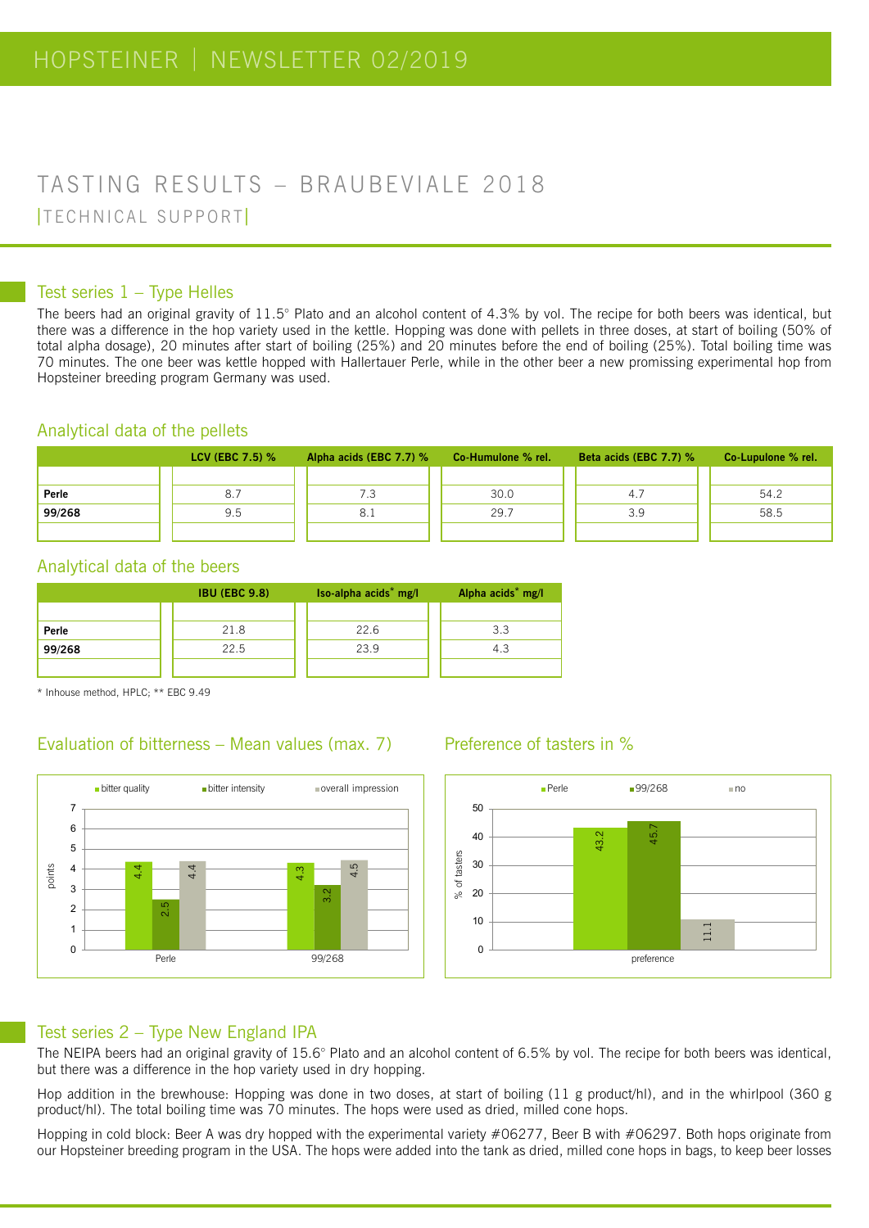## TASTING RESULTS – BRAUBEVIALE 2018 | TECHNICAL SUPPORT |

#### Test series 1 – Type Helles

The beers had an original gravity of 11.5° Plato and an alcohol content of 4.3% by vol. The recipe for both beers was identical, but there was a difference in the hop variety used in the kettle. Hopping was done with pellets in three doses, at start of boiling (50% of total alpha dosage), 20 minutes after start of boiling (25%) and 20 minutes before the end of boiling (25%). Total boiling time was 70 minutes. The one beer was kettle hopped with Hallertauer Perle, while in the other beer a new promissing experimental hop from Hopsteiner breeding program Germany was used.

#### Analytical data of the pellets

|        | <b>LCV (EBC 7.5) %</b> | Alpha acids (EBC 7.7) % Co-Humulone % rel. |      | Beta acids (EBC $7.7$ ) % | Co-Lupulone % rel. |
|--------|------------------------|--------------------------------------------|------|---------------------------|--------------------|
|        |                        |                                            |      |                           |                    |
| Perle  | 8.7                    |                                            | 30.0 | 4.7                       | 54.2               |
| 99/268 | 9.5                    | 8.1                                        | 29.7 | 3.9                       | 58.5               |
|        |                        |                                            |      |                           |                    |

#### Analytical data of the beers

|        | <b>IBU (EBC 9.8)</b> | Iso-alpha acids <sup>*</sup> mg/l | Alpha acids <sup>*</sup> mg/l |
|--------|----------------------|-----------------------------------|-------------------------------|
|        |                      |                                   |                               |
| Perle  | 21.8                 | 22.6                              | 3.3                           |
| 99/268 | 22.5                 | 23.9                              | 4.3                           |
|        |                      |                                   |                               |

\* Inhouse method, HPLC; \*\* EBC 9.49

# Evaluation of bitterness – Mean values (max. 7) Preference of tasters in %



#### Preference of tasters in %



#### Test series 2 – Type New England IPA

The NEIPA beers had an original gravity of 15.6° Plato and an alcohol content of 6.5% by vol. The recipe for both beers was identical, but there was a difference in the hop variety used in dry hopping.

Hop addition in the brewhouse: Hopping was done in two doses, at start of boiling (11 g product/hl), and in the whirlpool (360 g product/hl). The total boiling time was 70 minutes. The hops were used as dried, milled cone hops.

Hopping in cold block: Beer A was dry hopped with the experimental variety #06277, Beer B with #06297. Both hops originate from our Hopsteiner breeding program in the USA. The hops were added into the tank as dried, milled cone hops in bags, to keep beer losses